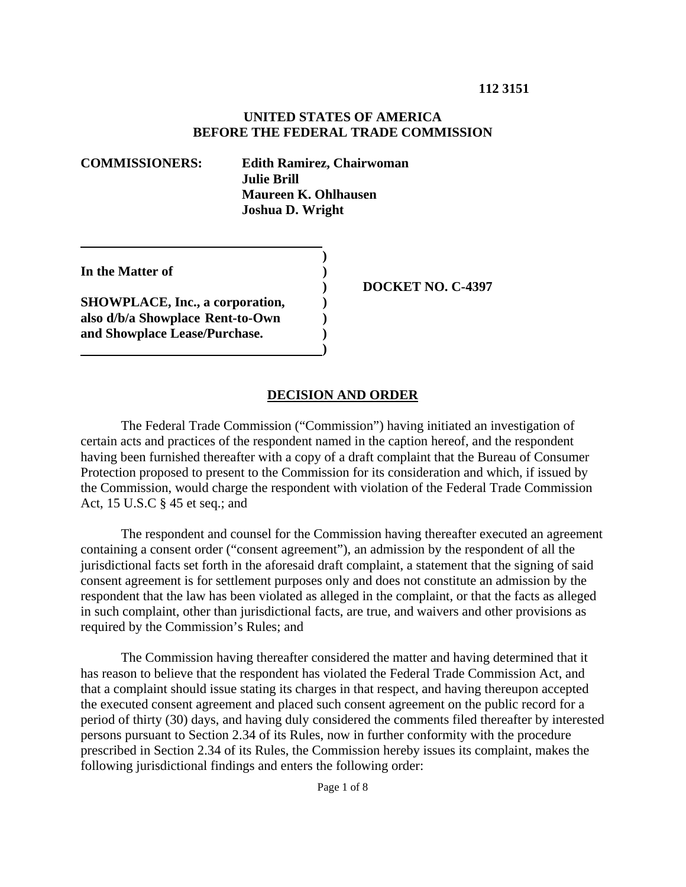#### **UNITED STATES OF AMERICA BEFORE THE FEDERAL TRADE COMMISSION**

| <b>COMMISSIONERS:</b>          | <b>Edith Ramirez, Chairwoman</b><br><b>Julie Brill</b><br>Maureen K. Ohlhausen<br><b>Joshua D. Wright</b> |
|--------------------------------|-----------------------------------------------------------------------------------------------------------|
| In the Matter of               | <b>DOCKE</b>                                                                                              |
| . <del></del> . ~ <del>.</del> |                                                                                                           |

**SHOWPLACE, Inc., a corporation,**  $\qquad$ **) also d/b/a Showplace Rent-to-Own ) and Showplace Lease/Purchase. ) 1 (a) (b) (b) (b) (b) (b) (c) (d)**  **ET NO. C-4397** 

#### **DECISION AND ORDER**

 The Federal Trade Commission ("Commission") having initiated an investigation of certain acts and practices of the respondent named in the caption hereof, and the respondent having been furnished thereafter with a copy of a draft complaint that the Bureau of Consumer Protection proposed to present to the Commission for its consideration and which, if issued by the Commission, would charge the respondent with violation of the Federal Trade Commission Act, 15 U.S.C § 45 et seq.; and

The respondent and counsel for the Commission having thereafter executed an agreement containing a consent order ("consent agreement"), an admission by the respondent of all the jurisdictional facts set forth in the aforesaid draft complaint, a statement that the signing of said consent agreement is for settlement purposes only and does not constitute an admission by the respondent that the law has been violated as alleged in the complaint, or that the facts as alleged in such complaint, other than jurisdictional facts, are true, and waivers and other provisions as required by the Commission's Rules; and

 The Commission having thereafter considered the matter and having determined that it has reason to believe that the respondent has violated the Federal Trade Commission Act, and that a complaint should issue stating its charges in that respect, and having thereupon accepted the executed consent agreement and placed such consent agreement on the public record for a period of thirty (30) days, and having duly considered the comments filed thereafter by interested persons pursuant to Section 2.34 of its Rules, now in further conformity with the procedure prescribed in Section 2.34 of its Rules, the Commission hereby issues its complaint, makes the following jurisdictional findings and enters the following order: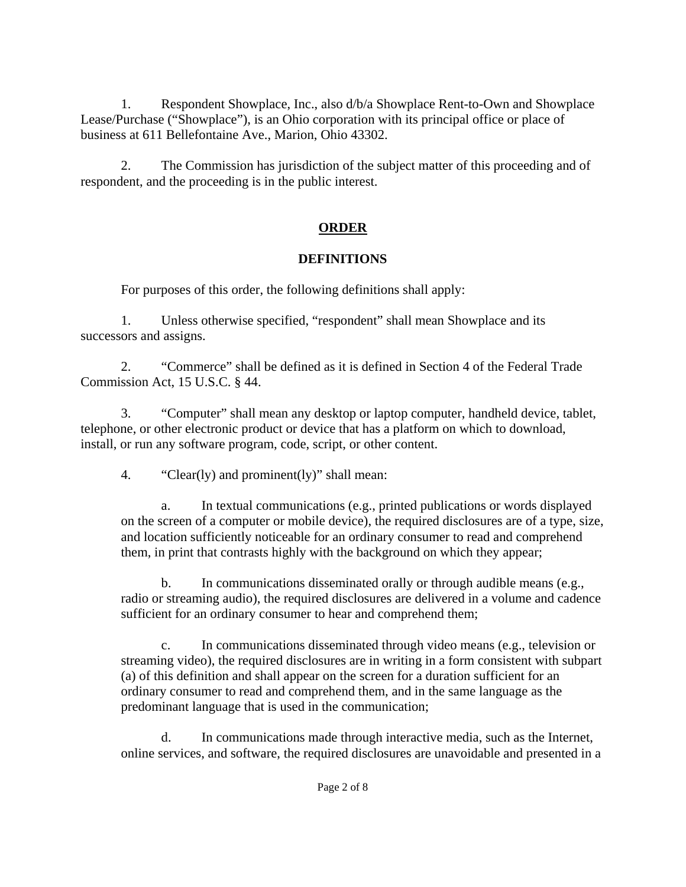1. Respondent Showplace, Inc., also d/b/a Showplace Rent-to-Own and Showplace Lease/Purchase ("Showplace"), is an Ohio corporation with its principal office or place of business at 611 Bellefontaine Ave., Marion, Ohio 43302.

2. The Commission has jurisdiction of the subject matter of this proceeding and of respondent, and the proceeding is in the public interest.

# **ORDER**

# **DEFINITIONS**

For purposes of this order, the following definitions shall apply:

1. Unless otherwise specified, "respondent" shall mean Showplace and its successors and assigns.

2. "Commerce" shall be defined as it is defined in Section 4 of the Federal Trade Commission Act, 15 U.S.C. § 44.

3. "Computer" shall mean any desktop or laptop computer, handheld device, tablet, telephone, or other electronic product or device that has a platform on which to download, install, or run any software program, code, script, or other content.

4. "Clear(ly) and prominent(ly)" shall mean:

a. In textual communications (e.g., printed publications or words displayed on the screen of a computer or mobile device), the required disclosures are of a type, size, and location sufficiently noticeable for an ordinary consumer to read and comprehend them, in print that contrasts highly with the background on which they appear;

b. In communications disseminated orally or through audible means (e.g., radio or streaming audio), the required disclosures are delivered in a volume and cadence sufficient for an ordinary consumer to hear and comprehend them;

c. In communications disseminated through video means (e.g., television or streaming video), the required disclosures are in writing in a form consistent with subpart (a) of this definition and shall appear on the screen for a duration sufficient for an ordinary consumer to read and comprehend them, and in the same language as the predominant language that is used in the communication;

d. In communications made through interactive media, such as the Internet, online services, and software, the required disclosures are unavoidable and presented in a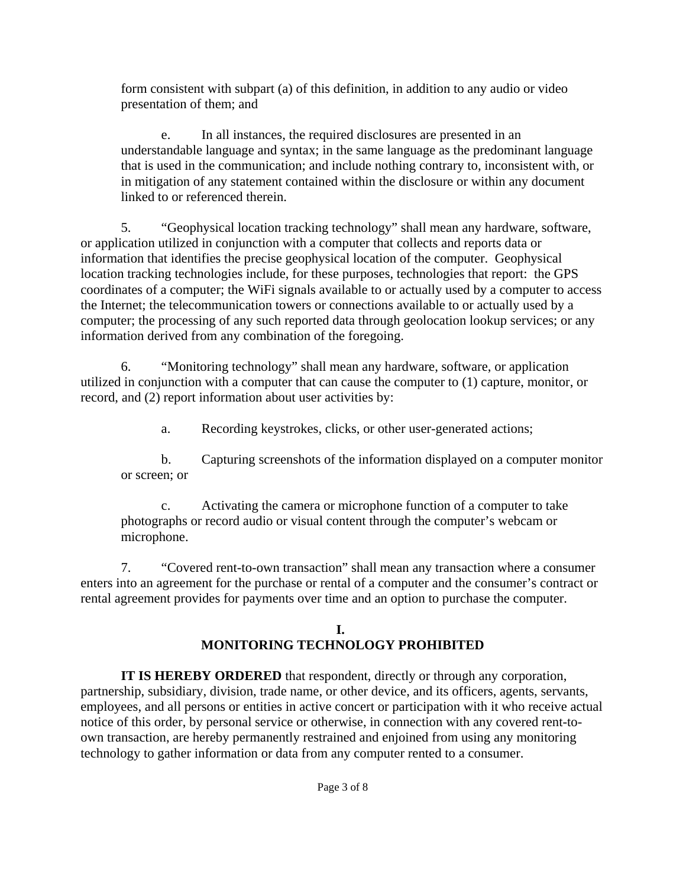form consistent with subpart (a) of this definition, in addition to any audio or video presentation of them; and

e. In all instances, the required disclosures are presented in an understandable language and syntax; in the same language as the predominant language that is used in the communication; and include nothing contrary to, inconsistent with, or in mitigation of any statement contained within the disclosure or within any document linked to or referenced therein.

5. "Geophysical location tracking technology" shall mean any hardware, software, or application utilized in conjunction with a computer that collects and reports data or information that identifies the precise geophysical location of the computer. Geophysical location tracking technologies include, for these purposes, technologies that report: the GPS coordinates of a computer; the WiFi signals available to or actually used by a computer to access the Internet; the telecommunication towers or connections available to or actually used by a computer; the processing of any such reported data through geolocation lookup services; or any information derived from any combination of the foregoing.

6. "Monitoring technology" shall mean any hardware, software, or application utilized in conjunction with a computer that can cause the computer to (1) capture, monitor, or record, and (2) report information about user activities by:

a. Recording keystrokes, clicks, or other user-generated actions;

b. Capturing screenshots of the information displayed on a computer monitor or screen; or

c. Activating the camera or microphone function of a computer to take photographs or record audio or visual content through the computer's webcam or microphone.

7. "Covered rent-to-own transaction" shall mean any transaction where a consumer enters into an agreement for the purchase or rental of a computer and the consumer's contract or rental agreement provides for payments over time and an option to purchase the computer.

## **I. MONITORING TECHNOLOGY PROHIBITED**

**IT IS HEREBY ORDERED** that respondent, directly or through any corporation, partnership, subsidiary, division, trade name, or other device, and its officers, agents, servants, employees, and all persons or entities in active concert or participation with it who receive actual notice of this order, by personal service or otherwise, in connection with any covered rent-toown transaction, are hereby permanently restrained and enjoined from using any monitoring technology to gather information or data from any computer rented to a consumer.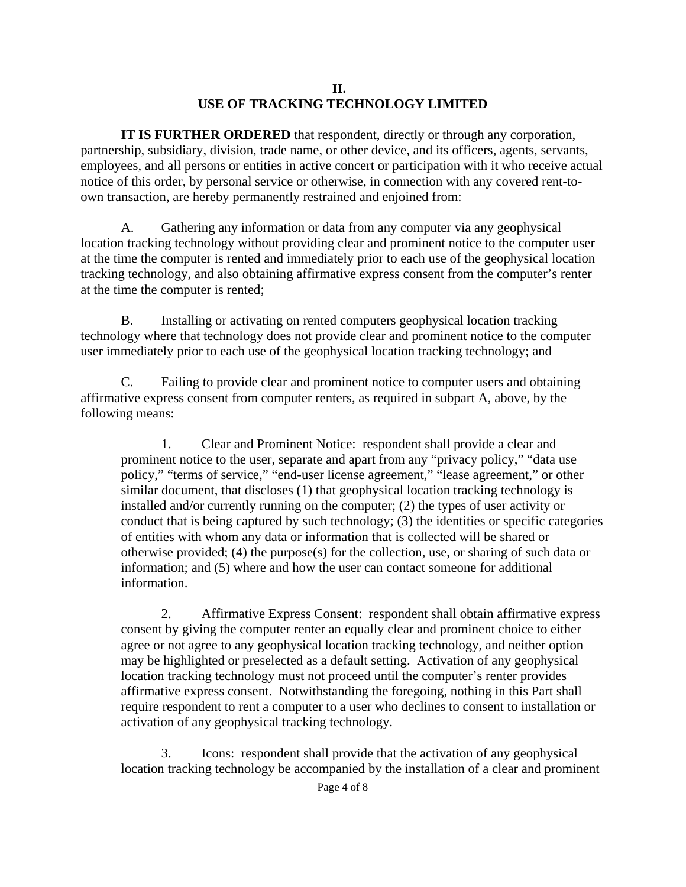### **II. USE OF TRACKING TECHNOLOGY LIMITED**

**IT IS FURTHER ORDERED** that respondent, directly or through any corporation, partnership, subsidiary, division, trade name, or other device, and its officers, agents, servants, employees, and all persons or entities in active concert or participation with it who receive actual notice of this order, by personal service or otherwise, in connection with any covered rent-toown transaction, are hereby permanently restrained and enjoined from:

A. Gathering any information or data from any computer via any geophysical location tracking technology without providing clear and prominent notice to the computer user at the time the computer is rented and immediately prior to each use of the geophysical location tracking technology, and also obtaining affirmative express consent from the computer's renter at the time the computer is rented;

B. Installing or activating on rented computers geophysical location tracking technology where that technology does not provide clear and prominent notice to the computer user immediately prior to each use of the geophysical location tracking technology; and

C. Failing to provide clear and prominent notice to computer users and obtaining affirmative express consent from computer renters, as required in subpart A, above, by the following means:

1. Clear and Prominent Notice: respondent shall provide a clear and prominent notice to the user, separate and apart from any "privacy policy," "data use policy," "terms of service," "end-user license agreement," "lease agreement," or other similar document, that discloses (1) that geophysical location tracking technology is installed and/or currently running on the computer; (2) the types of user activity or conduct that is being captured by such technology; (3) the identities or specific categories of entities with whom any data or information that is collected will be shared or otherwise provided; (4) the purpose(s) for the collection, use, or sharing of such data or information; and (5) where and how the user can contact someone for additional information.

2. Affirmative Express Consent: respondent shall obtain affirmative express consent by giving the computer renter an equally clear and prominent choice to either agree or not agree to any geophysical location tracking technology, and neither option may be highlighted or preselected as a default setting. Activation of any geophysical location tracking technology must not proceed until the computer's renter provides affirmative express consent. Notwithstanding the foregoing, nothing in this Part shall require respondent to rent a computer to a user who declines to consent to installation or activation of any geophysical tracking technology.

3. Icons: respondent shall provide that the activation of any geophysical location tracking technology be accompanied by the installation of a clear and prominent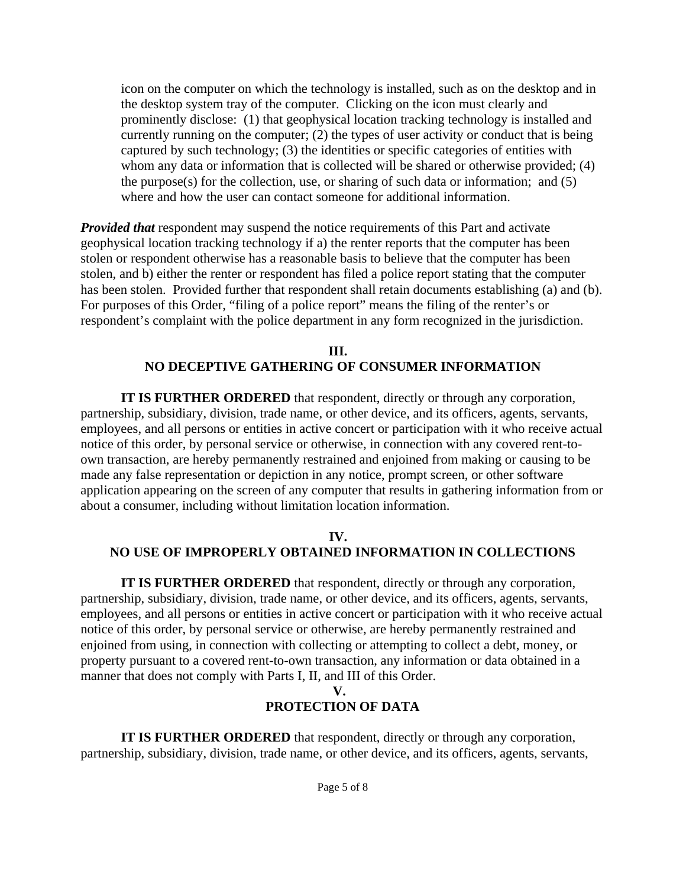icon on the computer on which the technology is installed, such as on the desktop and in the desktop system tray of the computer. Clicking on the icon must clearly and prominently disclose: (1) that geophysical location tracking technology is installed and currently running on the computer; (2) the types of user activity or conduct that is being captured by such technology; (3) the identities or specific categories of entities with whom any data or information that is collected will be shared or otherwise provided; (4) the purpose(s) for the collection, use, or sharing of such data or information; and (5) where and how the user can contact someone for additional information.

*Provided that* respondent may suspend the notice requirements of this Part and activate geophysical location tracking technology if a) the renter reports that the computer has been stolen or respondent otherwise has a reasonable basis to believe that the computer has been stolen, and b) either the renter or respondent has filed a police report stating that the computer has been stolen. Provided further that respondent shall retain documents establishing (a) and (b). For purposes of this Order, "filing of a police report" means the filing of the renter's or respondent's complaint with the police department in any form recognized in the jurisdiction.

### **III. NO DECEPTIVE GATHERING OF CONSUMER INFORMATION**

**IT IS FURTHER ORDERED** that respondent, directly or through any corporation, partnership, subsidiary, division, trade name, or other device, and its officers, agents, servants, employees, and all persons or entities in active concert or participation with it who receive actual notice of this order, by personal service or otherwise, in connection with any covered rent-toown transaction, are hereby permanently restrained and enjoined from making or causing to be made any false representation or depiction in any notice, prompt screen, or other software application appearing on the screen of any computer that results in gathering information from or about a consumer, including without limitation location information.

### **IV. NO USE OF IMPROPERLY OBTAINED INFORMATION IN COLLECTIONS**

**IT IS FURTHER ORDERED** that respondent, directly or through any corporation, partnership, subsidiary, division, trade name, or other device, and its officers, agents, servants, employees, and all persons or entities in active concert or participation with it who receive actual notice of this order, by personal service or otherwise, are hereby permanently restrained and enjoined from using, in connection with collecting or attempting to collect a debt, money, or property pursuant to a covered rent-to-own transaction, any information or data obtained in a manner that does not comply with Parts I, II, and III of this Order.

#### **V.**

### **PROTECTION OF DATA**

**IT IS FURTHER ORDERED** that respondent, directly or through any corporation, partnership, subsidiary, division, trade name, or other device, and its officers, agents, servants,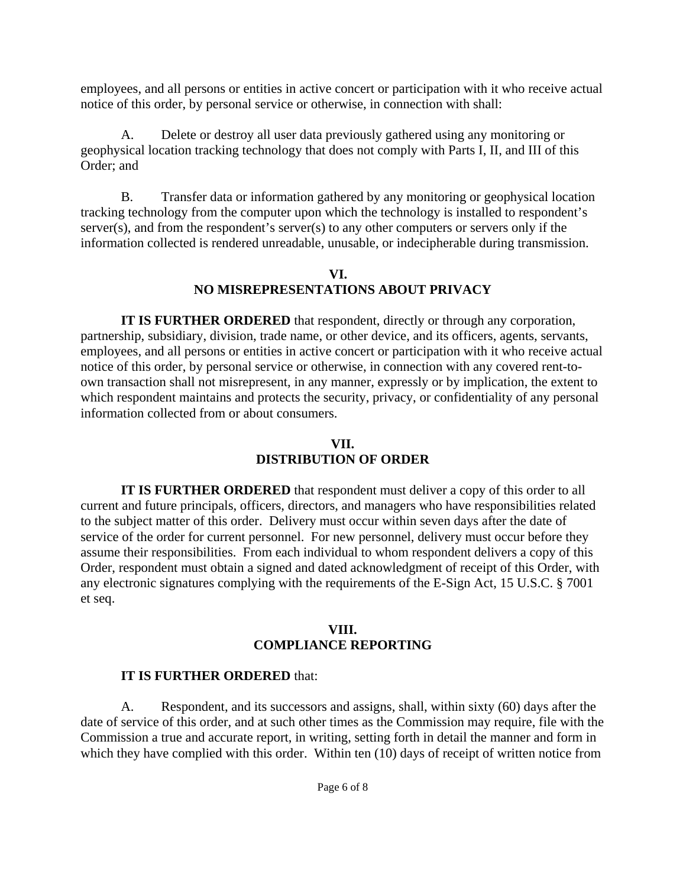employees, and all persons or entities in active concert or participation with it who receive actual notice of this order, by personal service or otherwise, in connection with shall:

A. Delete or destroy all user data previously gathered using any monitoring or geophysical location tracking technology that does not comply with Parts I, II, and III of this Order; and

B. Transfer data or information gathered by any monitoring or geophysical location tracking technology from the computer upon which the technology is installed to respondent's server(s), and from the respondent's server(s) to any other computers or servers only if the information collected is rendered unreadable, unusable, or indecipherable during transmission.

## **VI. NO MISREPRESENTATIONS ABOUT PRIVACY**

**IT IS FURTHER ORDERED** that respondent, directly or through any corporation, partnership, subsidiary, division, trade name, or other device, and its officers, agents, servants, employees, and all persons or entities in active concert or participation with it who receive actual notice of this order, by personal service or otherwise, in connection with any covered rent-toown transaction shall not misrepresent, in any manner, expressly or by implication, the extent to which respondent maintains and protects the security, privacy, or confidentiality of any personal information collected from or about consumers.

## **VII. DISTRIBUTION OF ORDER**

**IT IS FURTHER ORDERED** that respondent must deliver a copy of this order to all current and future principals, officers, directors, and managers who have responsibilities related to the subject matter of this order. Delivery must occur within seven days after the date of service of the order for current personnel. For new personnel, delivery must occur before they assume their responsibilities. From each individual to whom respondent delivers a copy of this Order, respondent must obtain a signed and dated acknowledgment of receipt of this Order, with any electronic signatures complying with the requirements of the E-Sign Act, 15 U.S.C. § 7001 et seq.

## **VIII. COMPLIANCE REPORTING**

# **IT IS FURTHER ORDERED** that:

A. Respondent, and its successors and assigns, shall, within sixty (60) days after the date of service of this order, and at such other times as the Commission may require, file with the Commission a true and accurate report, in writing, setting forth in detail the manner and form in which they have complied with this order. Within ten (10) days of receipt of written notice from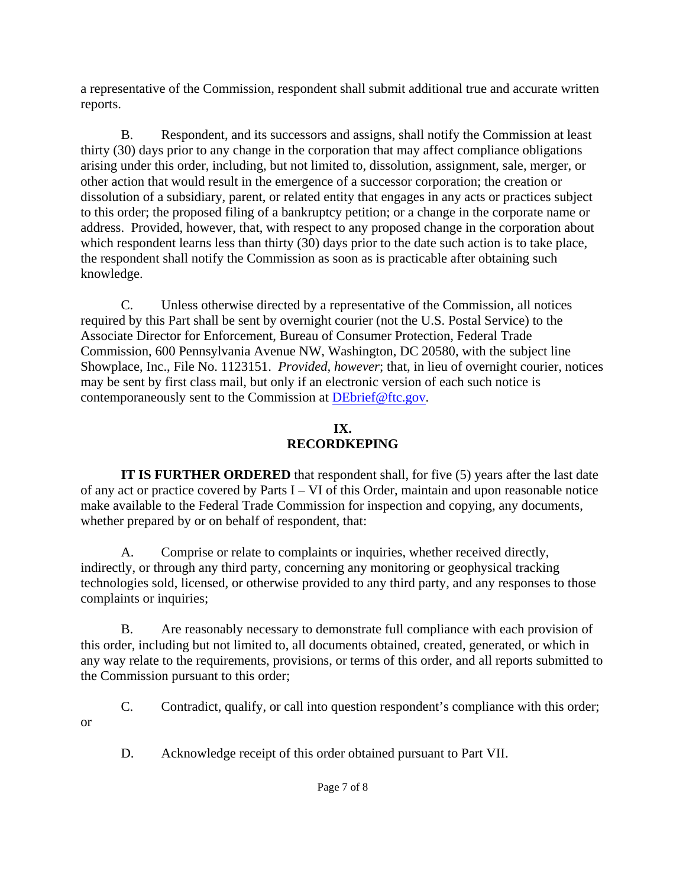a representative of the Commission, respondent shall submit additional true and accurate written reports.

B. Respondent, and its successors and assigns, shall notify the Commission at least thirty (30) days prior to any change in the corporation that may affect compliance obligations arising under this order, including, but not limited to, dissolution, assignment, sale, merger, or other action that would result in the emergence of a successor corporation; the creation or dissolution of a subsidiary, parent, or related entity that engages in any acts or practices subject to this order; the proposed filing of a bankruptcy petition; or a change in the corporate name or address. Provided, however, that, with respect to any proposed change in the corporation about which respondent learns less than thirty (30) days prior to the date such action is to take place, the respondent shall notify the Commission as soon as is practicable after obtaining such knowledge.

C. Unless otherwise directed by a representative of the Commission, all notices required by this Part shall be sent by overnight courier (not the U.S. Postal Service) to the Associate Director for Enforcement, Bureau of Consumer Protection, Federal Trade Commission, 600 Pennsylvania Avenue NW, Washington, DC 20580, with the subject line Showplace, Inc., File No. 1123151. *Provided, however*; that, in lieu of overnight courier, notices may be sent by first class mail, but only if an electronic version of each such notice is contemporaneously sent to the Commission at DEbrief@ftc.gov.

## **IX. RECORDKEPING**

**IT IS FURTHER ORDERED** that respondent shall, for five (5) years after the last date of any act or practice covered by Parts I – VI of this Order, maintain and upon reasonable notice make available to the Federal Trade Commission for inspection and copying, any documents, whether prepared by or on behalf of respondent, that:

A. Comprise or relate to complaints or inquiries, whether received directly, indirectly, or through any third party, concerning any monitoring or geophysical tracking technologies sold, licensed, or otherwise provided to any third party, and any responses to those complaints or inquiries;

B. Are reasonably necessary to demonstrate full compliance with each provision of this order, including but not limited to, all documents obtained, created, generated, or which in any way relate to the requirements, provisions, or terms of this order, and all reports submitted to the Commission pursuant to this order;

C. Contradict, qualify, or call into question respondent's compliance with this order;

or

D. Acknowledge receipt of this order obtained pursuant to Part VII.